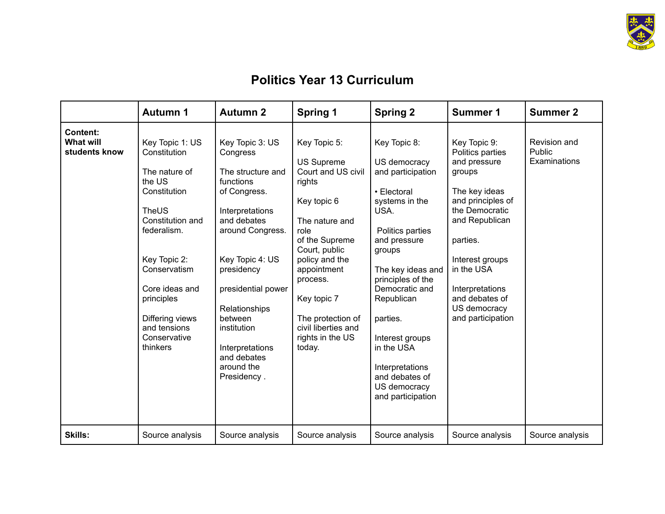

## **Politics Year 13 Curriculum**

|                                               | <b>Autumn 1</b>                                                                                                                                                                                                                                       | <b>Autumn 2</b>                                                                                                                                                                                                                                                                                      | Spring 1                                                                                                                                                                                                                                                                            | <b>Spring 2</b>                                                                                                                                                                                                                                                                                                                           | Summer 1                                                                                                                                                                                                                                                    | <b>Summer 2</b>                               |
|-----------------------------------------------|-------------------------------------------------------------------------------------------------------------------------------------------------------------------------------------------------------------------------------------------------------|------------------------------------------------------------------------------------------------------------------------------------------------------------------------------------------------------------------------------------------------------------------------------------------------------|-------------------------------------------------------------------------------------------------------------------------------------------------------------------------------------------------------------------------------------------------------------------------------------|-------------------------------------------------------------------------------------------------------------------------------------------------------------------------------------------------------------------------------------------------------------------------------------------------------------------------------------------|-------------------------------------------------------------------------------------------------------------------------------------------------------------------------------------------------------------------------------------------------------------|-----------------------------------------------|
| <b>Content:</b><br>What will<br>students know | Key Topic 1: US<br>Constitution<br>The nature of<br>the US<br>Constitution<br>TheUS<br>Constitution and<br>federalism.<br>Key Topic 2:<br>Conservatism<br>Core ideas and<br>principles<br>Differing views<br>and tensions<br>Conservative<br>thinkers | Key Topic 3: US<br>Congress<br>The structure and<br>functions<br>of Congress.<br>Interpretations<br>and debates<br>around Congress.<br>Key Topic 4: US<br>presidency<br>presidential power<br>Relationships<br>between<br>institution<br>Interpretations<br>and debates<br>around the<br>Presidency. | Key Topic 5:<br><b>US Supreme</b><br>Court and US civil<br>rights<br>Key topic 6<br>The nature and<br>role<br>of the Supreme<br>Court, public<br>policy and the<br>appointment<br>process.<br>Key topic 7<br>The protection of<br>civil liberties and<br>rights in the US<br>today. | Key Topic 8:<br>US democracy<br>and participation<br>• Electoral<br>systems in the<br>USA.<br>Politics parties<br>and pressure<br>groups<br>The key ideas and<br>principles of the<br>Democratic and<br>Republican<br>parties.<br>Interest groups<br>in the USA<br>Interpretations<br>and debates of<br>US democracy<br>and participation | Key Topic 9:<br>Politics parties<br>and pressure<br>groups<br>The key ideas<br>and principles of<br>the Democratic<br>and Republican<br>parties.<br>Interest groups<br>in the USA<br>Interpretations<br>and debates of<br>US democracy<br>and participation | Revision and<br><b>Public</b><br>Examinations |
| <b>Skills:</b>                                | Source analysis                                                                                                                                                                                                                                       | Source analysis                                                                                                                                                                                                                                                                                      | Source analysis                                                                                                                                                                                                                                                                     | Source analysis                                                                                                                                                                                                                                                                                                                           | Source analysis                                                                                                                                                                                                                                             | Source analysis                               |